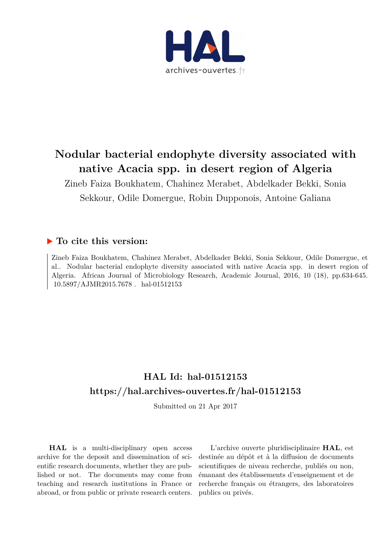

# **Nodular bacterial endophyte diversity associated with native Acacia spp. in desert region of Algeria**

Zineb Faiza Boukhatem, Chahinez Merabet, Abdelkader Bekki, Sonia Sekkour, Odile Domergue, Robin Dupponois, Antoine Galiana

## **To cite this version:**

Zineb Faiza Boukhatem, Chahinez Merabet, Abdelkader Bekki, Sonia Sekkour, Odile Domergue, et al.. Nodular bacterial endophyte diversity associated with native Acacia spp. in desert region of Algeria. African Journal of Microbiology Research, Academic Journal, 2016, 10 (18), pp.634-645.  $10.5897/AJMR2015.7678$ . hal-01512153

# **HAL Id: hal-01512153 <https://hal.archives-ouvertes.fr/hal-01512153>**

Submitted on 21 Apr 2017

**HAL** is a multi-disciplinary open access archive for the deposit and dissemination of scientific research documents, whether they are published or not. The documents may come from teaching and research institutions in France or abroad, or from public or private research centers.

L'archive ouverte pluridisciplinaire **HAL**, est destinée au dépôt et à la diffusion de documents scientifiques de niveau recherche, publiés ou non, émanant des établissements d'enseignement et de recherche français ou étrangers, des laboratoires publics ou privés.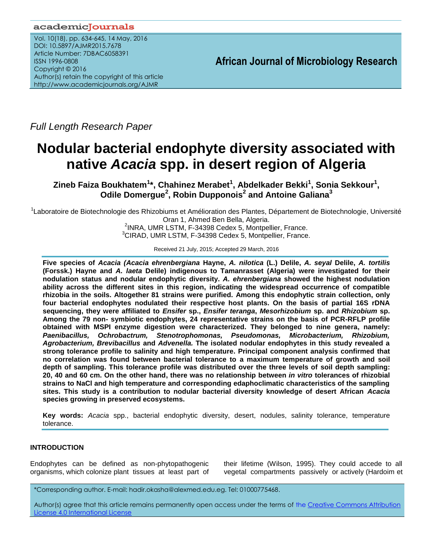## academicJournals

Vol. 10(18), pp. 634-645, 14 May, 2016 DOI: 10.5897/AJMR2015.7678 Article Number: 7DBAC6058391 ISSN 1996-0808 Copyright © 2016 Author(s) retain the copyright of this article http://www.academicjournals.org/AJMR

**African Journal of Microbiology Research**

*Full Length Research Paper*

# **Nodular bacterial endophyte diversity associated with native** *Acacia* **spp. in desert region of Algeria**

**Zineb Faiza Boukhatem<sup>1</sup> \*, Chahinez Merabet<sup>1</sup> , Abdelkader Bekki<sup>1</sup> , Sonia Sekkour<sup>1</sup> , Odile Domergue<sup>2</sup> , Robin Dupponois<sup>2</sup> and Antoine Galiana<sup>3</sup>**

<sup>1</sup>Laboratoire de Biotechnologie des Rhizobiums et Amélioration des Plantes, Département de Biotechnologie, Université Oran 1, Ahmed Ben Bella, Algeria.

<sup>2</sup>INRA, UMR LSTM, F-34398 Cedex 5, Montpellier, France. <sup>3</sup>CIRAD, UMR LSTM, F-34398 Cedex 5, Montpellier, France.

Received 21 July, 2015; Accepted 29 March, 2016

**Five species of** *Acacia (Acacia ehrenbergiana* **Hayne,** *A. nilotica* **(L.) Delile,** *A. seyal* **Delile,** *A. tortilis* **(Forssk.) Hayne and** *A. laeta* **Delile) indigenous to Tamanrasset (Algeria) were investigated for their nodulation status and nodular endophytic diversity.** *A. ehrenbergiana* **showed the highest nodulation ability across the different sites in this region, indicating the widespread occurrence of compatible rhizobia in the soils. Altogether 81 strains were purified. Among this endophytic strain collection, only four bacterial endophytes nodulated their respective host plants. On the basis of partial 16S rDNA sequencing, they were affiliated to** *Ensifer* **sp.,** *Ensifer teranga***,** *Mesorhizobium* **sp. and** *Rhizobium* **sp. Among the 79 non- symbiotic endophytes, 24 representative strains on the basis of PCR-RFLP profile obtained with MSPI enzyme digestion were characterized. They belonged to nine genera, namely:** *Paenibacillus, Ochrobactrum, Stenotrophomonas, Pseudomonas, Microbacterium, Rhizobium, Agrobacterium, Brevibacillus* **and** *Advenella.* **The isolated nodular endophytes in this study revealed a strong tolerance profile to salinity and high temperature. Principal component analysis confirmed that no correlation was found between bacterial tolerance to a maximum temperature of growth and soil depth of sampling. This tolerance profile was distributed over the three levels of soil depth sampling: 20, 40 and 60 cm. On the other hand, there was no relationship between** *in vitro* **tolerances of rhizobial strains to NaCl and high temperature and corresponding edaphoclimatic characteristics of the sampling sites. This study is a contribution to nodular bacterial diversity knowledge of desert African** *Acacia* **species growing in preserved ecosystems.**

**Key words:** *Acacia* spp., bacterial endophytic diversity, desert, nodules, salinity tolerance, temperature tolerance.

## **INTRODUCTION**

Endophytes can be defined as non-phytopathogenic organisms, which colonize plant tissues at least part of their lifetime (Wilson, 1995). They could accede to all vegetal compartments passively or actively (Hardoim et

\*Corresponding author. E-mail: hadir.okasha@alexmed.edu.eg. Tel: 01000775468.

Author(s) agree that this article remains permanently open access under the terms of the Creative Commons Attribution [License 4.0 International License](http://creativecommons.org/licenses/by/4.0/deed.en_US)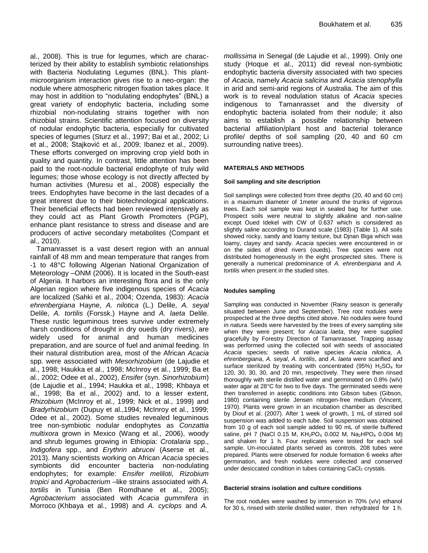al., 2008). This is true for legumes, which are characterized by their ability to establish symbiotic relationships with Bacteria Nodulating Legumes (BNL). This plantmicroorganism interaction gives rise to a neo-organ: the nodule where atmospheric nitrogen fixation takes place. It may host in addition to "nodulating endophytes" (BNL) a great variety of endophytic bacteria, including some rhizobial non-nodulating strains together with non rhizobial strains. Scientific attention focused on diversity of nodular endophytic bacteria, especially for cultivated species of legumes (Sturz et al., 1997; Bai et al., 2002; Li et al., 2008; Stajković et al., 2009; Ibanez et al., 2009). These efforts converged on improving crop yield both in quality and quantity. In contrast, little attention has been paid to the root-nodule bacterial endophyte of truly wild legumes; those whose ecology is not directly affected by human activities (Muresu et al., 2008) especially the trees. Endophytes have become in the last decades of a great interest due to their biotechnological applications. Their beneficial effects had been reviewed intensively as they could act as Plant Growth Promoters (PGP), enhance plant resistance to stress and disease and are producers of active secondary metabolites (Compant et al., 2010).

Tamanrasset is a vast desert region with an annual rainfall of 48 mm and mean temperature that ranges from -1 to 48°C following Algerian National Organization of Meteorology –ONM (2006). It is located in the South-east of Algeria. It harbors an interesting flora and is the only Algerian region where five indigenous species of *Acacia* are localized (Sahki et al., 2004; Ozenda, 1983): *Acacia ehrenbergiana* Hayne, *A. nilotica* (L.) Delile, *A. seyal* Delile, *A. tortilis* (Forssk.) Hayne and *A. laeta* Delile. These rustic leguminous trees survive under extremely harsh conditions of drought in dry oueds (dry rivers), are widely used for animal and human medicines preparation, and are source of fuel and animal feeding. In their natural distribution area, most of the African *Acacia* spp. were associated with *Mesorhizobium* (de Lajudie et al., 1998; Haukka et al., 1998; McInroy et al., 1999; Ba et al., 2002; Odee et al., 2002), *Ensifer* (syn. *Sinorhizobium*) (de Lajudie et al., 1994; Haukka et al., 1998; Khbaya et al., 1998; Ba et al., 2002) and, to a lesser extent, *Rhizobium* (McInroy et al., 1999; Nick et al., 1999) and *Bradyrhizobium* (Dupuy et al.,1994; McInroy et al., 1999; Odee et al., 2002). Some studies revealed leguminous tree non-symbiotic nodular endophytes as *Conzattia multixora* grown in Mexico (Wang et al., 2006), woody and shrub legumes growing in Ethiopia: *Crotalaria* spp., *Indigofera* spp., and *Erythrin abrucei* (Aserse et al., 2013). Many scientists working on African *Acacia* species symbionts did encounter bacteria non-nodulating endophytes; for example: *Ensifer meliloti, Rizobium tropici* and *Agrobacterium* –like strains associated with *A. tortilis* in Tunisia (Ben Romdhane et al., 2005); *Agrobacterium* associated with *Acacia gummifera* in Morroco (Khbaya et al., 1998) and *A. cyclops* and *A.*

*mollissima* in Senegal (de Lajudie et al., 1999). Only one study (Hoque et al., 2011) did reveal non-symbiotic endophytic bacteria diversity associated with two species of *Acacia*, namely *Acacia salicina* and *Acacia stenophylla* in arid and semi-arid regions of Australia. The aim of this work is to reveal nodulation status of *Acacia* species indigenous to Tamanrasset and the diversity of endophytic bacteria isolated from their nodule; it also aims to establish a possible relationship between bacterial affiliation/plant host and bacterial tolerance profile/ depths of soil sampling (20, 40 and 60 cm surrounding native trees).

#### **MATERIALS AND METHODS**

#### **Soil sampling and site description**

Soil samplings were collected from three depths (20, 40 and 60 cm) in a maximum diameter of 1meter around the trunks of vigorous trees. Each soil sample was kept in sealed bag for further use*.*  Prospect soils were neutral to slightly alkaline and non-saline except Oued Idekel with CW of 0.637 which is considered as slightly saline according to Durand scale (1983) (Table 1). All soils showed rocky, sandy and loamy texture, but Djnan Biga which was loamy, clayey and sandy. *Acacia* species were encountered in or on the sides of dried rivers (oueds). Tree species were not distributed homogeneously in the eight prospected sites. There is generally a numerical predominance of *A. ehrenbergiana* and *A. tortilis* when present in the studied sites.

#### **Nodules sampling**

Sampling was conducted in November (Rainy season is generally situated between June and September). Tree root nodules were prospected at the three depths cited above. No nodules were found *in natura*. Seeds were harvested by the trees of every sampling site when they were present; for *Acacia laeta*, they were supplied gracefully by Forestry Direction of Tamanrasset. Trapping assay was performed using the collected soil with seeds of associated *Acacia* species: seeds of native species *Acacia nilotica*, *A. ehrenbergiana*, *A. seyal*, *A. tortilis*, and *A. laeta* were scarified and surface sterilized by treating with concentrated (95%)  $H<sub>2</sub>SO<sub>4</sub>$  for 120, 30, 30, 30, and 20 min, respectively. They were then rinsed thoroughly with sterile distilled water and germinated on 0.8% (w/v) water agar at 28°C for two to five days. The germinated seeds were then transferred in aseptic conditions into Gibson tubes (Gibson, 1980) containing sterile Jensen nitrogen-free medium (Vincent, 1970). Plants were grown in an incubation chamber as described by Diouf et al. (2007). After 1 week of growth, 1 mL of stirred soil suspension was added to each tube. Soil suspension was obtained from 10 g of each soil sample added to 90 mL of sterile buffered saline, pH 7 (NaCl 0.15 M,  $KH_2PO_4$  0.002 M, Na<sub>2</sub>HPO<sub>4</sub> 0.004 M) and shaken for 1 h. Four replicates were tested for each soil sample. Un-inoculated plants served as controls. 208 tubes were prepared. Plants were observed for nodule formation 6 weeks after germination, and fresh nodules were collected and conserved under desiccated condition in tubes containing CaCl<sub>2</sub> crystals.

#### **Bacterial strains isolation and culture conditions**

The root nodules were washed by immersion in 70% (v/v) ethanol for 30 s, rinsed with sterile distilled water, then rehydrated for 1 h.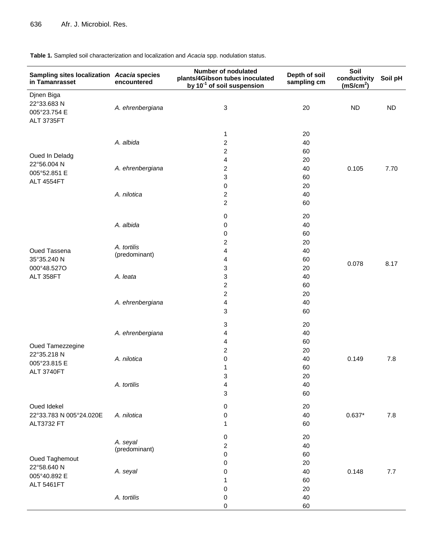**Table 1.** Sampled soil characterization and localization and *Acacia* spp. nodulation status.

| Sampling sites localization Acacia species<br>in Tamanrasset | encountered      | <b>Number of nodulated</b><br>plants/4Gibson tubes inoculated<br>by 10 <sup>-1</sup> of soil suspension | Depth of soil<br>sampling cm | Soil<br>conductivity<br>(mS/cm <sup>2</sup> ) | Soil pH   |
|--------------------------------------------------------------|------------------|---------------------------------------------------------------------------------------------------------|------------------------------|-----------------------------------------------|-----------|
| Djnen Biga<br>22°33.683N                                     | A. ehrenbergiana | 3                                                                                                       | 20                           | <b>ND</b>                                     | <b>ND</b> |
| 005°23.754 E<br><b>ALT 3735FT</b>                            |                  |                                                                                                         |                              |                                               |           |
|                                                              |                  | 1                                                                                                       | 20                           |                                               |           |
|                                                              | A. albida        | 2                                                                                                       | 40                           |                                               |           |
|                                                              |                  | 2                                                                                                       | 60                           |                                               |           |
| Oued In Deladg                                               |                  | 4                                                                                                       | 20                           |                                               |           |
| 22°56.004 N                                                  | A. ehrenbergiana | 2                                                                                                       | 40                           | 0.105                                         | 7.70      |
| 005°52.851 E                                                 |                  | 3                                                                                                       | 60                           |                                               |           |
| <b>ALT 4554FT</b>                                            |                  | 0                                                                                                       | 20                           |                                               |           |
|                                                              | A. nilotica      | $\overline{\mathbf{c}}$                                                                                 | 40                           |                                               |           |
|                                                              |                  | $\overline{c}$                                                                                          | 60                           |                                               |           |
|                                                              |                  | 0                                                                                                       | 20                           |                                               |           |
|                                                              | A. albida        | 0                                                                                                       | 40                           |                                               |           |
|                                                              |                  | 0                                                                                                       | 60                           |                                               |           |
|                                                              |                  | 2                                                                                                       | 20                           |                                               |           |
| Oued Tassena                                                 | A. tortilis      | 4                                                                                                       | 40                           |                                               |           |
| 35°35.240 N                                                  | (predominant)    | 4                                                                                                       | 60                           |                                               |           |
| 000°48.527O                                                  |                  | 3                                                                                                       | 20                           | 0.078                                         | 8.17      |
| ALT 358FT                                                    | A. leata         | 3                                                                                                       | 40                           |                                               |           |
|                                                              |                  | $\overline{\mathbf{c}}$                                                                                 | 60                           |                                               |           |
|                                                              |                  | 2                                                                                                       | 20                           |                                               |           |
|                                                              | A. ehrenbergiana | 4                                                                                                       | 40                           |                                               |           |
|                                                              |                  | 3                                                                                                       | 60                           |                                               |           |
|                                                              |                  | 3                                                                                                       | 20                           |                                               |           |
|                                                              | A. ehrenbergiana | 4                                                                                                       | 40                           |                                               |           |
| Oued Tamezzegine                                             |                  | 4                                                                                                       | 60                           |                                               |           |
| 22°35.218 N                                                  |                  | $\overline{\mathbf{c}}$                                                                                 | 20                           |                                               |           |
| 005°23.815 E                                                 | A. nilotica      | 0                                                                                                       | 40                           | 0.149                                         | 7.8       |
| ALT 3740FT                                                   |                  | 1                                                                                                       | 60                           |                                               |           |
|                                                              |                  | 3                                                                                                       | 20                           |                                               |           |
|                                                              | A. tortilis      | 4                                                                                                       | 40                           |                                               |           |
|                                                              |                  | 3                                                                                                       | 60                           |                                               |           |
| Oued Idekel                                                  |                  | 0                                                                                                       | 20                           |                                               |           |
| 22°33.783 N 005°24.020E                                      | A. nilotica      | 0                                                                                                       | 40                           | $0.637*$                                      | 7.8       |
| <b>ALT3732 FT</b>                                            |                  | 1                                                                                                       | 60                           |                                               |           |
|                                                              | A. seyal         | 0                                                                                                       | 20                           |                                               |           |
|                                                              | (predominant)    | $\overline{\mathbf{c}}$                                                                                 | 40                           |                                               |           |
| Oued Taghemout                                               |                  | 0                                                                                                       | 60                           |                                               |           |
| 22°58.640 N                                                  |                  | 0                                                                                                       | 20                           |                                               |           |
| 005°40.892 E                                                 | A. seyal         | 0                                                                                                       | 40                           | 0.148                                         | 7.7       |
| <b>ALT 5461FT</b>                                            |                  | 1                                                                                                       | 60                           |                                               |           |
|                                                              |                  | 0                                                                                                       | 20                           |                                               |           |
|                                                              | A. tortilis      | 0                                                                                                       | 40                           |                                               |           |
|                                                              |                  | 0                                                                                                       | 60                           |                                               |           |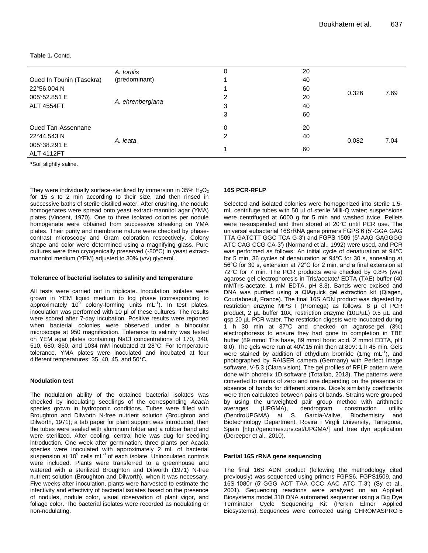#### **Table 1.** Contd.

|                                   | A. tortilis      | 0 | 20 |       |      |
|-----------------------------------|------------------|---|----|-------|------|
| Oued In Tounin (Tasekra)          | (predominant)    |   | 40 | 0.326 | 7.69 |
| 22°56.004 N                       | A. ehrenbergiana |   | 60 |       |      |
| 005°52.851 E<br><b>ALT 4554FT</b> |                  | 2 | 20 |       |      |
|                                   |                  | 3 | 40 |       |      |
|                                   |                  | 3 | 60 |       |      |
| Oued Tan-Assennane<br>22°44.543 N |                  | 0 | 20 |       |      |
|                                   |                  | 2 | 40 |       |      |
| 005°38.291 E                      | A. leata         |   |    | 0.082 | 7.04 |
| <b>ALT 4112FT</b>                 |                  |   | 60 |       |      |

**\***Soil slightly saline.

They were individually surface-sterilized by immersion in 35%  $H_2O_2$ for 15 s to 2 min according to their size, and then rinsed in successive baths of sterile distilled water. After crushing, the nodule homogenates were spread onto yeast extract-mannitol agar (YMA) plates (Vincent, 1970). One to three isolated colonies per nodule homogenate were obtained from successive streaking on YMA plates. Their purity and membrane nature were checked by phasecontrast microscopy and Gram coloration respectively. Colony shape and color were determined using a magnifying glass. Pure cultures were then cryogenically preserved (-80°C) in yeast extractmannitol medium (YEM) adjusted to 30% (v/v) glycerol.

#### **Tolerance of bacterial isolates to salinity and temperature**

All tests were carried out in triplicate. Inoculation isolates were grown in YEM liquid medium to log phase (corresponding to approximately 10 $9^{\circ}$  colony-forming units mL<sup>-1</sup>). In test plates, inoculation was performed with 10 µl of these cultures. The results were scored after 7-day incubation. Positive results were reported when bacterial colonies were observed under a binocular microscope at 950 magnification. Tolerance to salinity was tested on YEM agar plates containing NaCl concentrations of 170, 340, 510, 680, 860, and 1034 mM incubated at 28°C. For temperature tolerance, YMA plates were inoculated and incubated at four different temperatures: 35, 40, 45, and 50°C.

#### **Nodulation test**

The nodulation ability of the obtained bacterial isolates was checked by inoculating seedlings of the corresponding *Acacia* species grown in hydroponic conditions. Tubes were filled with Broughton and Dilworth N-free nutrient solution (Broughton and Dilworth, 1971); a tab paper for plant support was introduced, then the tubes were sealed with aluminum folder and a rubber band and were sterilized. After cooling, central hole was dug for seedling introduction. One week after germination, three plants per Acacia species were inoculated with approximately 2 mL of bacterial suspension at 10<sup>9</sup> cells mL<sup>-1</sup> of each isolate. Uninoculated controls were included. Plants were transferred to a greenhouse and watered with a sterilized Broughton and Dilworth (1971) N-free nutrient solution (Broughton and Dilworth), when it was necessary. Five weeks after inoculation, plants were harvested to estimate the infectivity and effectivity of bacterial isolates based on the presence of nodules, nodule color, visual observation of plant vigor, and foliage color. The bacterial isolates were recorded as nodulating or non-nodulating.

#### **16S PCR-RFLP**

Selected and isolated colonies were homogenized into sterile 1.5 mL centrifuge tubes with 50 µl of sterile Milli-Q water; suspensions were centrifuged at 6000 g for 5 min and washed twice. Pellets were re-suspended and then stored at 20°C until PCR use. The universal eubacterial 16SrRNA gene primers FGPS 6 (5′-GGA GAG TTA GATCTT GGC TCA G-3′) and FGPS 1509 (5′-AAG GAGGGG ATC CAG CCG CA-3′) (Normand et al., 1992) were used, and PCR was performed as follows: An initial cycle of denaturation at 94°C for 5 min, 36 cycles of denaturation at 94°C for 30 s, annealing at 56°C for 30 s, extension at 72°C for 2 min, and a final extension at 72°C for 7 min. The PCR products were checked by 0.8% (w/v) agarose gel electrophoresis in Tris/acetate/ EDTA (TAE) buffer (40 mMTris-acetate, 1 mM EDTA, pH 8.3). Bands were excised and DNA was purified using a QIAquick gel extraction kit (Qiagen, Courtaboeuf, France). The final 16S ADN product was digested by restriction enzyme MPS I (Promega) as follows: 8 µ of PCR product, 2 µL buffer 10X, restriction enzyme (10U/µL) 0.5 µL and qsp 20 µL PCR water. The restriction digests were incubated during 1 h 30 min at 37°C and checked on agarose-gel (3%) electrophoresis to ensure they had gone to completion in TBE buffer (89 mmol Tris base, 89 mmol boric acid, 2 mmol EDTA, pH 8.0). The gels were run at 40V:15 min then at 80V: 1 h 45 min. Gels were stained by addition of ethydium bromide (1mg mL $^{-1}$ ), and photographed by RAISER camera (Germany) with Perfect Image software, V-5.3 (Clara vision). The gel profiles of RFLP pattern were done with phoretix 1D software (Totallab, 2013). The patterns were converted to matrix of zero and one depending on the presence or absence of bands for different strains. Dice's similarity coefficients were then calculated between pairs of bands. Strains were grouped by using the unweighted pair group method with arithmetic averages (UPGMA), dendrogram construction utility<br>(DendroUPGMA) at S. Garcia-Vallve, Biochemistrv and (DendroUPGMA) at S. Garcia-Vallve, Biochemistry and Biotechnology Department, Rovira i Virgili University, Tarragona, Spain [http://genomes.urv.cat/UPGMA/] and tree dyn application (Dereeper et al., 2010).

#### **Partial 16S rRNA gene sequencing**

The final 16S ADN product (following the methodology cited previously) was sequenced using primers FGPS6, FGPS1509, and 16S-1080r (5′-GGG ACT TAA CCC AAC ATC T-3′) (Sy et al., 2001). Sequencing reactions were analyzed on an Applied Biosystems model 310 DNA automated sequencer using a Big Dye Terminator Cycle Sequencing Kit (Perkin Elmer Applied Biosystems). Sequences were corrected using CHROMASPRO 5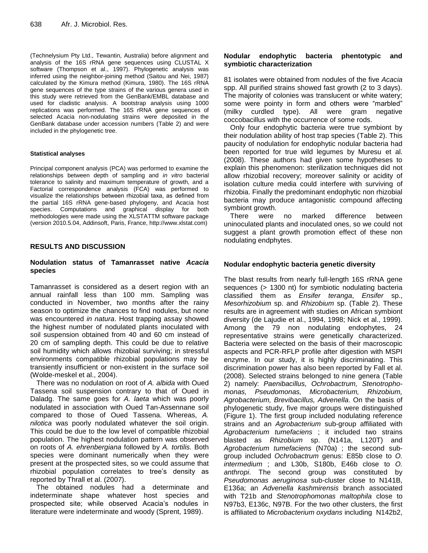(Technelysium Pty Ltd., Tewantin, Australia) before alignment and analysis of the 16S rRNA gene sequences using CLUSTAL X software (Thompson et al., 1997). Phylogenetic analysis was inferred using the neighbor-joining method (Saitou and Nei, 1987) calculated by the Kimura method (Kimura, 1980). The 16S rRNA gene sequences of the type strains of the various genera used in this study were retrieved from the GenBank/EMBL database and used for cladistic analysis. A bootstrap analysis using 1000 replications was performed. The 16S rRNA gene sequences of selected Acacia non-nodulating strains were deposited in the GenBank database under accession numbers (Table 2) and were included in the phylogenetic tree.

#### **Statistical analyses**

Principal component analysis (PCA) was performed to examine the relationships between depth of sampling and *in vitro* bacterial tolerance to salinity and maximum temperature of growth, and a Factorial correspondence analysis (FCA) was performed to visualize the relationships between rhizobial taxa, as defined from the partial 16S rRNA gene-based phylogeny, and Acacia host species. Computations and graphical display for both methodologies were made using the XLSTATTM software package (version 2010.5.04, Addinsoft, Paris, France, http://www.xlstat.com)

## **RESULTS AND DISCUSSION**

## **Nodulation status of Tamanrasset native** *Acacia* **species**

Tamanrasset is considered as a desert region with an annual rainfall less than 100 mm. Sampling was conducted in November, two months after the rainy season to optimize the chances to find nodules, but none was encountered *in natura*. Host trapping assay showed the highest number of nodulated plants inoculated with soil suspension obtained from 40 and 60 cm instead of 20 cm of sampling depth. This could be due to relative soil humidity which allows rhizobial surviving; in stressful environments compatible rhizobial populations may be transiently insufficient or non-existent in the surface soil (Wolde-meskel et al., 2004).

There was no nodulation on root of *A. albida* with Oued Tassena soil suspension contrary to that of Oued in Daladg. The same goes for *A. laeta* which was poorly nodulated in association with Oued Tan-Assennane soil compared to those of Oued Tassena. Whereas, *A. nilotica* was poorly nodulated whatever the soil origin. This could be due to the low level of compatible rhizobial population. The highest nodulation pattern was observed on roots of *A. ehrenbergiana* followed by *A. tortilis.* Both species were dominant numerically when they were present at the prospected sites, so we could assume that rhizobial population correlates to tree's density as reported by Thrall et al. (2007).

The obtained nodules had a determinate and indeterminate shape whatever host species and prospected site; while observed Acacia's nodules in literature were indeterminate and woody (Sprent, 1989).

## **Nodular endophytic bacteria phentotypic and symbiotic characterization**

81 isolates were obtained from nodules of the five *Acacia* spp. All purified strains showed fast growth (2 to 3 days). The majority of colonies was translucent or white watery; some were pointy in form and others were "marbled" (milky curdled type). All were gram negative coccobacillus with the occurrence of some rods.

Only four endophytic bacteria were true symbiont by their nodulation ability of host trap species (Table 2). This paucity of nodulation for endophytic nodular bacteria had been reported for true wild legumes by Muresu et al. (2008). These authors had given some hypotheses to explain this phenomenon: sterilization techniques did not allow rhizobial recovery; moreover salinity or acidity of isolation culture media could interfere with surviving of rhizobia. Finally the predominant endophytic non rhizobial bacteria may produce antagonistic compound affecting symbiont growth.

There were no marked difference between uninoculated plants and inoculated ones, so we could not suggest a plant growth promotion effect of these non nodulating endphytes.

## **Nodular endophytic bacteria genetic diversity**

The blast results from nearly full-length 16S rRNA gene sequences (> 1300 nt) for symbiotic nodulating bacteria classified them as *Ensifer teranga*, *Ensifer* sp., *Mesorhizobium* sp. and *Rhizobium* sp. (Table 2). These results are in agreement with studies on African symbiont diversity (de Lajudie et al., 1994, 1998; Nick et al., 1999). Among the 79 non nodulating endophytes, 24 representative strains were genetically characterized. Bacteria were selected on the basis of their macroscopic aspects and PCR-RFLP profile after digestion with MSPI enzyme. In our study, it is highly discriminating. This discrimination power has also been reported by Fall et al. (2008). Selected strains belonged to nine genera (Table 2) namely: *Paenibacillus, Ochrobactrum, Stenotrophomonas, Pseudomonas, Microbacterium, Rhizobium, Agrobacterium, Brevibacillus, Advenella*. On the basis of phylogenetic study, five major groups were distinguished (Figure 1). The first group included nodulating reference strains and an *Agrobacterium* sub-group affiliated with *Agrobacterium tumefaciens* ; it included two strains blasted as *Rhizobium* sp. (N141a, L120T) and *Agrobacterium tumefaciens* (N70a) ; the second subgroup included *Ochrobactrum* genus: E85b close to *O. intermedium* ; and L30b, S180b, E46b close to *O. anthropi*. The second group was constituted by *Pseudomonas aeruginosa* sub-cluster close to N141B, E136a; an *Advenella kashmirensis* branch associated with T21b and *Stenotrophomonas maltophila* close to N97b3, E136c, N97B. For the two other clusters, the first is affiliated to *Microbacterium oxydans* including N142b2,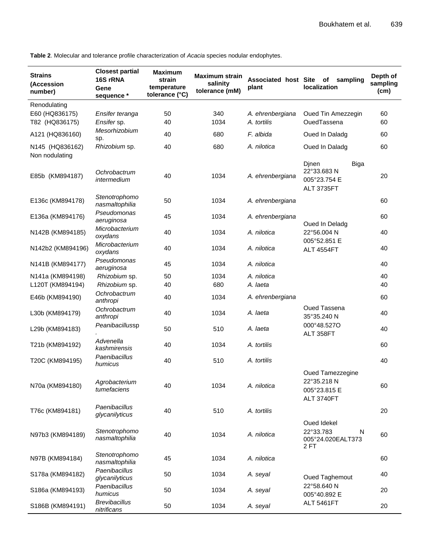**Table 2**. Molecular and tolerance profile characterization of *Acacia* species nodular endophytes.

| <b>Strains</b><br>(Accession<br>number) | <b>Closest partial</b><br>16S rRNA<br>Gene<br>sequence * | <b>Maximum</b><br>strain<br>temperature<br>tolerance (°C) | <b>Maximum strain</b><br>salinity<br>tolerance (mM) | Associated host Site of<br>plant | sampling<br>localization                                                | Depth of<br>sampling<br>(cm) |
|-----------------------------------------|----------------------------------------------------------|-----------------------------------------------------------|-----------------------------------------------------|----------------------------------|-------------------------------------------------------------------------|------------------------------|
| Renodulating                            |                                                          |                                                           |                                                     |                                  |                                                                         |                              |
| E60 (HQ836175)                          | Ensifer teranga                                          | 50                                                        | 340                                                 | A. ehrenbergiana                 | Oued Tin Amezzegin                                                      | 60                           |
| T82 (HQ836175)                          | Ensifer sp.                                              | 40                                                        | 1034                                                | A. tortilis                      | OuedTassena                                                             | 60                           |
| A121 (HQ836160)                         | Mesorhizobium<br>sp.                                     | 40                                                        | 680                                                 | F. albida                        | Oued In Daladg                                                          | 60                           |
| N145 (HQ836162)<br>Non nodulating       | Rhizobium sp.                                            | 40                                                        | 680                                                 | A. nilotica                      | Oued In Daladg                                                          | 60                           |
| E85b (KM894187)                         | Ochrobactrum<br>intermedium                              | 40                                                        | 1034                                                | A. ehrenbergiana                 | Dinen<br><b>Biga</b><br>22°33.683N<br>005°23.754 E<br><b>ALT 3735FT</b> | 20                           |
| E136c (KM894178)                        | Stenotrophomo<br>nasmaltophilia                          | 50                                                        | 1034                                                | A. ehrenbergiana                 |                                                                         | 60                           |
| E136a (KM894176)                        | Pseudomonas<br>aeruginosa                                | 45                                                        | 1034                                                | A. ehrenbergiana                 | Oued In Deladg                                                          | 60                           |
| N142B (KM894185)                        | Microbacterium<br>oxydans                                | 40                                                        | 1034                                                | A. nilotica                      | 22°56.004 N                                                             | 40                           |
| N142b2 (KM894196)                       | Microbacterium<br>oxydans                                | 40                                                        | 1034                                                | A. nilotica                      | 005°52.851 E<br><b>ALT 4554FT</b>                                       | 40                           |
| N141B (KM894177)                        | Pseudomonas<br>aeruginosa                                | 45                                                        | 1034                                                | A. nilotica                      |                                                                         | 40                           |
| N141a (KM894198)                        | Rhizobium sp.                                            | 50                                                        | 1034                                                | A. nilotica                      |                                                                         | 40                           |
| L120T (KM894194)                        | Rhizobium sp.                                            | 40                                                        | 680                                                 | A. laeta                         |                                                                         | 40                           |
| E46b (KM894190)                         | Ochrobactrum<br>anthropi                                 | 40                                                        | 1034                                                | A. ehrenbergiana                 |                                                                         | 60                           |
| L30b (KM894179)                         | Ochrobactrum<br>anthropi                                 | 40                                                        | 1034                                                | A. laeta                         | <b>Oued Tassena</b><br>35°35.240 N                                      | 40                           |
| L29b (KM894183)                         | Peanibacillussp                                          | 50                                                        | 510                                                 | A. laeta                         | 000°48.527O<br>ALT 358FT                                                | 40                           |
| T21b (KM894192)                         | Advenella<br>kashmirensis                                | 40                                                        | 1034                                                | A. tortilis                      |                                                                         | 60                           |
| T20C (KM894195)                         | Paenibacillus<br>humicus                                 | 40                                                        | 510                                                 | A. tortilis                      |                                                                         | 40                           |
| N70a (KM894180)                         | Agrobacterium<br>tumefaciens                             | 40                                                        | 1034                                                | A. nilotica                      | Oued Tamezzegine<br>22°35.218 N<br>005°23.815 E<br>ALT 3740FT           | 60                           |
| T76c (KM894181)                         | Paenibacillus<br>glycanilyticus                          | 40                                                        | 510                                                 | A. tortilis                      |                                                                         | 20                           |
| N97b3 (KM894189)                        | Stenotrophomo<br>nasmaltophilia                          | 40                                                        | 1034                                                | A. nilotica                      | Oued Idekel<br>22°33.783<br>N<br>005°24.020EALT373<br>2 FT              | 60                           |
| N97B (KM894184)                         | Stenotrophomo<br>nasmaltophilia                          | 45                                                        | 1034                                                | A. nilotica                      |                                                                         | 60                           |
| S178a (KM894182)                        | Paenibacillus<br>glycanilyticus                          | 50                                                        | 1034                                                | A. seyal                         | <b>Oued Taghemout</b>                                                   | 40                           |
| S186a (KM894193)                        | Paenibacillus<br>humicus                                 | 50                                                        | 1034                                                | A. seyal                         | 22°58.640 N<br>005°40.892 E                                             | 20                           |
| S186B (KM894191)                        | <b>Brevibacillus</b><br>nitrificans                      | 50                                                        | 1034                                                | A. seyal                         | ALT 5461FT                                                              | 20                           |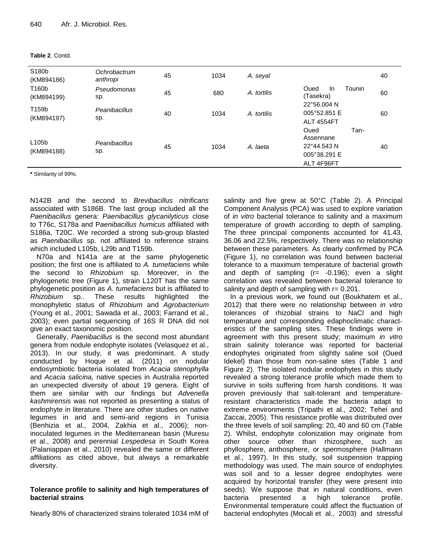|  | Table 2. Contd. |
|--|-----------------|
|  |                 |

| S180b<br>(KM894186)              | Ochrobactrum<br>anthropi | 45 | 1034 | A. seyal    |                                                                        | 40 |
|----------------------------------|--------------------------|----|------|-------------|------------------------------------------------------------------------|----|
| T160b<br>(KM894199)              | Pseudomonas<br>sp.       | 45 | 680  | A. tortilis | Tounin<br>Oued<br>In<br>(Tasekra)                                      | 60 |
| T159b<br>(KM894197)              | Peanibacillus<br>sp.     | 40 | 1034 | A. tortilis | 22°56.004 N<br>005°52.851 E<br><b>ALT 4554FT</b>                       | 60 |
| L <sub>105</sub> b<br>(KM894188) | Peanibacillus<br>sp.     | 45 | 1034 | A. laeta    | Tan-<br>Oued<br>Assennane<br>22°44.543 N<br>005°38.291 E<br>ALT 4F96FT | 40 |

**\*** Similarity of 99%.

N142B and the second to *Brevibacillus nitrificans*  associated with S186B. The last group included all the *Paenibacillus* genera: *Paenibacillus glycanilyticus* close to T76c, S178a and P*aenibacillus humicus* affiliated with S186a, T20C. We recorded a strong sub-group blasted as *Paenibacillus* sp. not affiliated to reference strains which included L105b, L29b and T159b.

N70a and N141a are at the same phylogenetic position; the first one is affiliated to *A. tumefaciens* while the second to *Rhizobium* sp. Moreover, in the phylogenetic tree (Figure 1), strain L120T has the same phylogenetic position as *A. tumefaciens* but is affiliated to *Rhizobium* sp.. These results highlighted the monophyletic status of *Rhizobium* and *Agrobacterium* (Young et al., 2001; Sawada et al., 2003; Farrand et al., 2003); even partial sequencing of 16S R DNA did not give an exact taxonomic position.

Generally, *Paenibacillus* is the second most abundant genera from nodule endophyte isolates (Velasquez et al., 2013). In our study, it was predominant. A study conducted by Hoque et al. (2011) on nodular endosymbiotic bacteria isolated from *Acacia stenophylla* and *Acacia salicina,* native species in Australia reported an unexpected diversity of about 19 genera. Eight of them are similar with our findings but *Advenella kashmirensis* was not reported as presenting a status of endophyte in literature. There are other studies on native legumes in arid and semi-arid regions in Tunisia (Benhizia et al., 2004, Zakhia et al., 2006); noninoculated legumes in the Mediterranean basin (Muresu et al., 2008) and perennial *Lespedesa* in South Korea (Palaniappan et al., 2010) revealed the same or different affiliations as cited above, but always a remarkable diversity.

## **Tolerance profile to salinity and high temperatures of bacterial strains**

Nearly 80% of characterized strains tolerated 1034 mM of

salinity and five grew at 50°C (Table 2). A Principal Component Analysis (PCA) was used to explore variation of *in vitro* bacterial tolerance to salinity and a maximum temperature of growth according to depth of sampling. The three principal components accounted for 41.43, 36.06 and 22.5%, respectively. There was no relationship between these parameters. As clearly confirmed by PCA (Figure 1), no correlation was found between bacterial tolerance to a maximum temperature of bacterial growth and depth of sampling (r= -0.196); even a slight correlation was revealed between bacterial tolerance to salinity and depth of sampling with  $r = 0.201$ .

In a previous work, we found out (Boukhatem et al., 2012) that there were no relationship between *in vitro* tolerances of rhizobial strains to NaCl and high temperature and corresponding edaphoclimatic characteristics of the sampling sites. These findings were in agreement with this present study; maximum *in vitro* strain salinity tolerance was reported for bacterial endophytes originated from slightly saline soil (Oued Idekel) than those from non-saline sites (Table 1 and Figure 2). The isolated nodular endophytes in this study revealed a strong tolerance profile which made them to survive in soils suffering from harsh conditions. It was proven previously that salt-tolerant and temperatureresistant characteristics made the bacteria adapt to extreme environments (Tripathi et al., 2002; Tehei and Zaccai, 2005). This resistance profile was distributed over the three levels of soil sampling: 20, 40 and 60 cm (Table 2). Whilst, endophyte colonization may originate from other source other than rhizosphere, such as phyllosphere, anthosphere, or spermosphere (Hallmann et al., 1997). In this study, soil suspension trapping methodology was used. The main source of endophytes was soil and to a lesser degree endophytes were acquired by horizontal transfer (they were present into seeds). We suppose that in natural conditions, even bacteria presented a high tolerance profile. Environmental temperature could affect the fluctuation of bacterial endophytes (Mocali et al., 2003) and stressful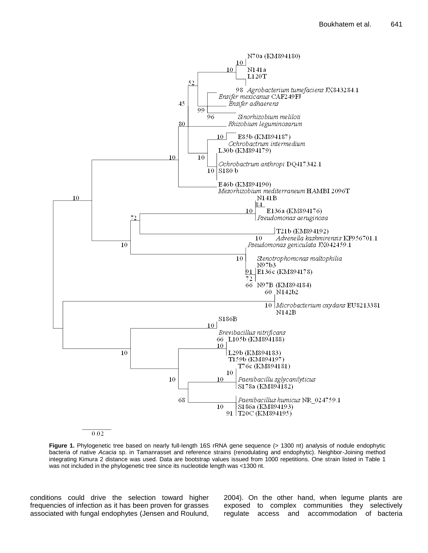

0.02

Figure 1. Phylogenetic tree based on nearly full-length 16S rRNA gene sequence (> 1300 nt) analysis of nodule endophytic bacteria of native *Acacia* sp. in Tamanrasset and reference strains (renodulating and endophytic). Neighbor-Joining method integrating Kimura 2 distance was used. Data are bootstrap values issued from 1000 repetitions. One strain listed in Table 1 was not included in the phylogenetic tree since its nucleotide length was <1300 nt.

conditions could drive the selection toward higher frequencies of infection as it has been proven for grasses associated with fungal endophytes (Jensen and Roulund, 2004). On the other hand, when legume plants are exposed to complex communities they selectively regulate access and accommodation of bacteria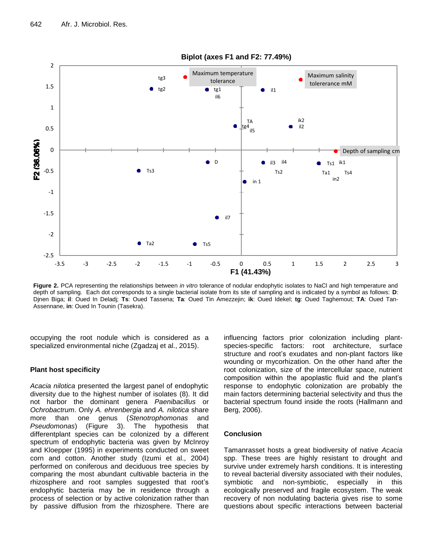

**Figure 2.** PCA representing the relationships between *in vitro* tolerance of nodular endophytic isolates to NaCl and high temperature and depth of sampling. Each dot corresponds to a single bacterial isolate from its site of sampling and is indicated by a symbol as follows: **D**: Djnen Biga; **il**: Oued In Deladj; **Ts**: Oued Tassena; **Ta**: Oued Tin Amezzejin; **ik**: Oued Idekel; **tg**: Oued Taghemout; **TA**: Oued Tan-Assennane, **in**: Oued In Tounin (Tasekra).

occupying the root nodule which is considered as a specialized environmental niche (Zgadzaj et al., 2015).

### **Plant host specificity**

*Acacia nilotica* presented the largest panel of endophytic diversity due to the highest number of isolates (8). It did not harbor the dominant genera *Paenibacillus* or *Ochrobactrum*. Only *A. ehrenbergia* and *A. nilotica* share more than one genus (*Stenotrophomonas* and *Pseudomonas*) (Figure 3). The hypothesis that differentplant species can be colonized by a different spectrum of endophytic bacteria was given by McInroy and Kloepper (1995) in experiments conducted on sweet corn and cotton. Another study (Izumi et al., 2004) performed on coniferous and deciduous tree species by comparing the most abundant cultivable bacteria in the rhizosphere and root samples suggested that root's endophytic bacteria may be in residence through a process of selection or by active colonization rather than by passive diffusion from the rhizosphere. There are influencing factors prior colonization including plantspecies-specific factors: root architecture, surface structure and root's exudates and non-plant factors like wounding or mycorhization. On the other hand after the root colonization, size of the intercellular space, nutrient composition within the apoplastic fluid and the plant's response to endophytic colonization are probably the main factors determining bacterial selectivity and thus the bacterial spectrum found inside the roots (Hallmann and Berg, 2006).

## **Conclusion**

Tamanrasset hosts a great biodiversity of native *Acacia*  spp. These trees are highly resistant to drought and survive under extremely harsh conditions. It is interesting to reveal bacterial diversity associated with their nodules, symbiotic and non-symbiotic, especially in this ecologically preserved and fragile ecosystem. The weak recovery of non nodulating bacteria gives rise to some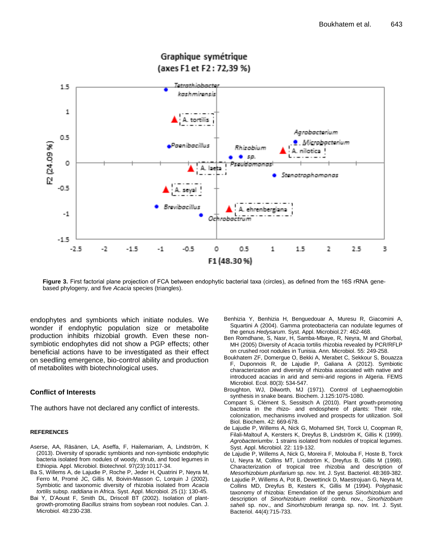

## Graphique symétrique (axes F1 et F2 : 72,39 %)

**Figure 3.** First factorial plane projection of FCA between endophytic bacterial taxa (circles), as defined from the 16S rRNA genebased phylogeny, and five *Acacia* species (triangles).

endophytes and symbionts which initiate nodules. We wonder if endophytic population size or metabolite production inhibits rhizobial growth. Even these nonsymbiotic endophytes did not show a PGP effects; other beneficial actions have to be investigated as their effect on seedling emergence, bio-control ability and production of metabolites with biotechnological uses.

## **Conflict of Interests**

The authors have not declared any conflict of interests.

#### **REFERENCES**

- Aserse, AA, Räsänen, LA, Aseffa, F, Hailemariam, A, Lindström, K (2013). Diversity of sporadic symbionts and non-symbiotic endophytic bacteria isolated from nodules of woody, shrub, and food legumes in Ethiopia. Appl. Microbiol. Biotechnol. 97(23):10117-34.
- [Ba](http://www.ncbi.nlm.nih.gov/pubmed?term=%22Ba%20S%22%5BAuthor%5D&itool=EntrezSystem2.PEntrez.Pubmed.Pubmed_ResultsPanel.Pubmed_RVAbstract) S[, Willems A,](http://www.ncbi.nlm.nih.gov/pubmed?term=%22Willems%20A%22%5BAuthor%5D&itool=EntrezSystem2.PEntrez.Pubmed.Pubmed_ResultsPanel.Pubmed_RVAbstract) [de Lajudie P,](http://www.ncbi.nlm.nih.gov/pubmed?term=%22de%20Lajudie%20P%22%5BAuthor%5D&itool=EntrezSystem2.PEntrez.Pubmed.Pubmed_ResultsPanel.Pubmed_RVAbstract) [Roche P,](http://www.ncbi.nlm.nih.gov/pubmed?term=%22Roche%20P%22%5BAuthor%5D&itool=EntrezSystem2.PEntrez.Pubmed.Pubmed_ResultsPanel.Pubmed_RVAbstract) [Jeder H,](http://www.ncbi.nlm.nih.gov/pubmed?term=%22Jeder%20H%22%5BAuthor%5D&itool=EntrezSystem2.PEntrez.Pubmed.Pubmed_ResultsPanel.Pubmed_RVAbstract) [Quatrini](http://www.ncbi.nlm.nih.gov/pubmed?term=%22Quatrini%20P%22%5BAuthor%5D&itool=EntrezSystem2.PEntrez.Pubmed.Pubmed_ResultsPanel.Pubmed_RVAbstract) P, [Neyra M,](http://www.ncbi.nlm.nih.gov/pubmed?term=%22Neyra%20M%22%5BAuthor%5D&itool=EntrezSystem2.PEntrez.Pubmed.Pubmed_ResultsPanel.Pubmed_RVAbstract)  [Ferro M,](http://www.ncbi.nlm.nih.gov/pubmed?term=%22Ferro%20M%22%5BAuthor%5D&itool=EntrezSystem2.PEntrez.Pubmed.Pubmed_ResultsPanel.Pubmed_RVAbstract) [Promé](http://www.ncbi.nlm.nih.gov/pubmed?term=%22Prom%C3%A9%20JC%22%5BAuthor%5D&itool=EntrezSystem2.PEntrez.Pubmed.Pubmed_ResultsPanel.Pubmed_RVAbstract) JC, [Gillis M,](http://www.ncbi.nlm.nih.gov/pubmed?term=%22Gillis%20M%22%5BAuthor%5D&itool=EntrezSystem2.PEntrez.Pubmed.Pubmed_ResultsPanel.Pubmed_RVAbstract) [Boivin-Masson](http://www.ncbi.nlm.nih.gov/pubmed?term=%22Boivin-Masson%20C%22%5BAuthor%5D&itool=EntrezSystem2.PEntrez.Pubmed.Pubmed_ResultsPanel.Pubmed_RVAbstract) C, [Lorquin](http://www.ncbi.nlm.nih.gov/pubmed?term=%22Lorquin%20J%22%5BAuthor%5D&itool=EntrezSystem2.PEntrez.Pubmed.Pubmed_ResultsPanel.Pubmed_RVAbstract) J (2002). Symbiotic and taxonomic diversity of rhizobia isolated from *Acacia tortilis* subsp. *raddiana* in Africa. Syst. Appl. Microbiol. 25 (1): 130-45.
- Bai Y, D'Aoust F, Smith DL, Driscoll BT (2002). Isolation of plantgrowth-promoting *Bacillus* strains from soybean root nodules. Can. J. Microbiol. 48:230-238.
- Benhizia Y, Benhizia H, Benguedouar A, Muresu R, Giacomini A, Squartini A (2004). Gamma proteobacteria can nodulate legumes of the genus *Hedysarum*. Syst. Appl. Microbiol*.*27: 462-468.
- Ben Romdhane, S, Nasr, H, Samba-Mbaye, R, Neyra, M and Ghorbal, MH (2005) Diversity of Acacia tortilis rhizobia revealed by PCR/RFLP on crushed root nodules in Tunisia. Ann. Microbiol. 55: 249-258.
- Boukhatem ZF, Domergue O, Bekki A, Merabet C, Sekkour S, Bouazza F, Duponnois R, de Lajudie P, Galiana A (2012). Symbiotic characterization and diversity of rhizobia associated with native and introduced acacias in arid and semi-arid regions in Algeria. FEMS Microbiol. Ecol. 80(3): 534-547.
- Broughton, WJ, Dilworth, MJ (1971). Control of Leghaemoglobin synthesis in snake beans. Biochem. J.125:1075-1080.
- Compant S, Clément S, Sessitsch A (2010). Plant growth-promoting bacteria in the rhizo- and endosphere of plants: Their role, colonization, mechanisms involved and prospects for utilization. Soil Biol. Biochem. 42: 669-678.
- de Lajudie P, Willems A, Nick G, Mohamed SH, Torck U, Coopman R, Filali-Maltouf A, Kersters K, Dreyfus B, Lindström K, Gillis K (1999). *Agrobacterium*bv. 1 strains isolated from nodules of tropical legumes. Syst. Appl. Microbiol. 22: 119-132.
- de Lajudie P, Willems A, Nick G, Moreira F, Molouba F, Hoste B, Torck U, Neyra M, Collins MT, Lindström K, Dreyfus B, Gillis M (1998). Characterization of tropical tree rhizobia and description of *Mesorhizobium plurifarium* sp. nov. Int. J. Syst. Bacteriol. 48:369-382.
- de Lajudie P, Willems A, Pot B, Dewettinck D, Maestrojuan G, Neyra M, Collins MD, Dreyfus B, Kesters K, Gillis M (1994). Polyphasic taxonomy of rhizobia: Emendation of the genus *Sinorhizobium* and description of *Sinorhizobium meliloti* comb. nov., *Sinorhizobium saheli* sp. nov., and *Sinorhizobium teranga* sp. nov. Int. J. Syst. Bacteriol. 44(4):715-733.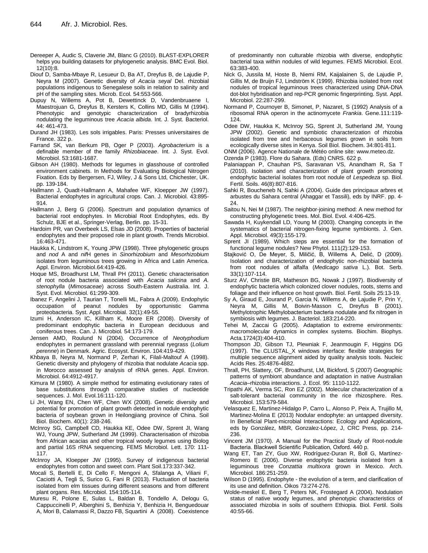- Dereeper A, Audic S, Claverie JM, Blanc G (2010). BLAST-EXPLORER helps you building datasets for phylogenetic analysis. BMC Evol. Biol. 12(10):8.
- Diouf D, Samba-Mbaye R, Lesueur D, Ba AT, Dreyfus B, de Lajudie P, Neyra M (2007). Genetic diversity of *Acacia seyal* Del. rhizobial populations indigenous to Senegalese soils in relation to salinity and pH of the sampling sites. Microb. Ecol*.* 54:553-566.
- Dupuy N, Willems A, Pot B, Dewettinck D, Vandenbruaene I, Maestrojuan G, Dreyfus B, Kersters K, Collins MD, Gillis M (1994). Phenotypic and genotypic characterization of bradyrhizobia nodulating the leguminous tree *Acacia albida*. Int. J. Syst. Bacteriol. 44: 461-473.
- Durand JH (1983). Les sols irrigables. Paris: Presses universitaires de France. 322 p.
- Farrand SK, van Berkum PB, Oger P (2003). *Agrobacterium* is a definable member of the family *Rhizobiaceae*. Int. J. Syst. Evol. Microbiol. 53:1681-1687.
- Gibson AH (1980). Methods for legumes in glasshouse of controlled environment cabinets. In Methods for Evaluating Biological Nitrogen Fixation. Eds by Bergersen, FJ, Wiley, J & Sons Ltd, Chichester, UK. pp. 139-184.
- Hallmann J, Quadt-Hallmann A, Mahafee WF, Kloepper JW (1997). Bacterial endophytes in agricultural crops. Can. J. Microbiol. 43:895- 914.
- Hallmann J, Berg G (2006). Spectrum and population dynamics of bacterial root endophytes. In Microbial Root Endophytes, eds. By Schulz, BJE et al., Springer-Verlag, Berlin. pp. 15-31.
- Hardoim PR, van Overbeek LS, Elsas JD (2008). Properties of bacterial endophytes and their proposed role in plant growth. Trends Microbiol. 16:463-471.
- Haukka K, Lindstrom K, Young JPW (1998). Three phylogenetic groups and *nod* A and *nif*H genes in *Sinorhizobium* and *Mesorhizobium* isolates from leguminous trees growing in Africa and Latin America. Appl. Environ. Microbiol.64:419-426.
- Hoque MS, Broadhurst LM, Thrall PH (2011). Genetic characterisation of root nodule bacteria associated with *Acacia salicina* and *A. stenophylla* (*Mimosaceae*) across South-Eastern Australia. Int. J. Syst. Evol. Microbiol. 61:299-309.
- Ibanez F, Angelini J, Taurian T, Tonelli ML, Fabra A (2009). Endophytic occupation of peanut nodules by opportunistic Gamma proteobacteria. Syst. Appl. Microbial. 32(1):49-55.
- Izumi H, Anderson IC, Killham K, Moore ER (2008). Diversity of predominant endophytic bacteria in European deciduous and coniferous trees. Can. J. Microbiol*.* 54:173-179.
- Jensen AMD, Roulund N (2004). Occurrence of *Neotyphodium* endophytes in permanent grassland with perennial ryegrass (*Lolium perenne*) in Denmark. Agric. Ecosyst. Environ. 104:419-429.
- Khbaya B, Neyra M, Normand P, Zerhari K, Filali-Maltouf A (1998). Genetic diversity and phylogeny of rhizobia that nodulate *Acacia* spp. in Morocco assessed by analysis of rRNA genes. Appl. Environ. Microbiol. 64:4912-4917.
- Kimura M (1980). A simple method for estimating evolutionary rates of base substitutions through comparative studies of nucleotide sequences. J. Mol. Evol*.*16:111-120.
- Li JH, Wang EN, Chen WF, Chen WX (2008). Genetic diversity and potential for promotion of plant growth detected in nodule endophytic bacteria of soybean grown in Heilongjiang province of China. Soil Biol. Biochem. 40(1): 238-246.
- McInroy SG, Campbell CD, Haukka KE, Odee DW, Sprent JI, Wang WJ, Young JPW, Sutherland JM (1999). Characterisation of rhizobia from African acacias and other tropical woody legumes using Biolog and partial 16S rRNA sequencing. FEMS Microbiol. Lett. 170: 111- 117.
- McInroy JA, Kloepper JW (1995). Survey of indigenous bacterial endophytes from cotton and sweet corn. Plant Soil.173:337-342.
- Mocali S, Bertelli E, Di Cello F, Mengoni A, Sfalanga A, Viliani F, Caciotti A, Tegli S, Surico G, Fani R (2013). Fluctuation of bacteria isolated from elm tissues during different seasons and from different plant organs. Res. Microbiol. 154:105-114.
- Muresu R, Polone E, Sulas L, Baldan B, Tondello A, Delogu G, Cappuccinelli P, Alberghini S, Benhizia Y, Benhizia H, Benguedouar A, Mori B, Calamassi R, Dazzo FB, Squartini A (2008). Coexistence

of predominantly non culturable rhizobia with diverse, endophytic bacterial taxa within nodules of wild legumes. FEMS Microbiol. Ecol. 63:383-400.

- Nick G, Jussila M, Hoste B, Niemi RM, Kaijalainen S, de Lajudie P, Gillis M, de Bruijn FJ, Lindström K (1999). Rhizobia isolated from root nodules of tropical leguminous trees characterized using DNA-DNA dot-blot hybridisation and rep-PCR genomic fingerprinting. Syst. Appl. Microbiol. 22:287-299.
- Normand P, Cournoyer B, Simonet, P, Nazaret, S (1992) Analysis of a ribosomal RNA operon in the actinomycete *Frankia*. Gene.111:119- 124.
- Odee DW, Haukka K, McInroy SG, Sprent JI, Sutherland JM, Young JPW (2002). Genetic and symbiotic characterization of rhizobia isolated from tree and herbaceous legumes grown in soils from ecologically diverse sites in Kenya. Soil Biol. Biochem. 34:801-811.
- ONM (2006). Agence Nationale de Météo online site: www.meteo.dz.

Ozenda P (1983). Flore du Sahara. (Eds) CNRS. 622 p.

- Palaniappan P, Chauhan PS, Saravanan VS, Anandham R, Sa T (2010). Isolation and characterization of plant growth promoting endophytic bacterial isolates from root nodule of *Lespedeza* sp. Biol. Fertil. Soils. 46(8):807-816.
- Sahki R, Boucheneb N, Sahki A (2004). Guide des principaux arbres et arbustes du Sahara central (Ahaggar et Tassili), eds by INRF. pp. 4- 24.
- Saitou N, Nei M (1987). The neighbor-joining method: A new method for constructing phylogenetic trees. Mol. Biol. Evol. 4:406-425.
- Sawada H, Kuykendall LD, Young M (2003). Changing concepts in the systematics of bacterial nitrogen-fixing legume symbionts. J. Gen. Appl. Microbiol. 49(3):155-179.
- Sprent JI (1989). Which steps are essential for the formation of functional legume nodules? New Phytol. 111(2):129-153.
- Stajković O, De Meyer, S, Miličić, B, Willems A, Delić, D (2009). Isolation and characterization of endophytic non-rhizobial bacteria from root nodules of alfalfa (*Medicago sativa* L.). Bot. Serb. 33(1):107-114.
- Sturz AV, Christie BR, Matheson BG, Nowak J (1997). Biodiversity of endophytic bacteria which colonized clover nodules, roots, stems and foliage and their influence on host growth. Biol. Fertil. Soils 25:13-19.
- Sy A, Giraud E, Jourand P, Garcia N, Willems A, de Lajudie P, Prin Y, Neyra M, Gillis M, Boivin-Masson C, Dreyfus B (2001). Methylotrophic Methylobacterium bacteria nodulate and fix nitrogen in symbiosis with legumes. J. Bacteriol. 183:214-220.
- [Tehei](http://www.ncbi.nlm.nih.gov/pubmed?term=Tehei%20M%5BAuthor%5D&cauthor=true&cauthor_uid=15951115) M, [Zaccai](http://www.ncbi.nlm.nih.gov/pubmed?term=Zaccai%20G%5BAuthor%5D&cauthor=true&cauthor_uid=15951115) G (2005). Adaptation to extreme environments: macromolecular dynamics in complex systems. Biochim. [Biophys.](http://www.ncbi.nlm.nih.gov/pubmed/15951115) [Acta](http://www.ncbi.nlm.nih.gov/pubmed/15951115)*.*1724(3):404-410.
- Thompson JD, Gibson TJ, Plewniak F, Jeanmougin F, Higgins DG (1997). The CLUSTAL\_X windows interface: flexible strategies for multiple sequence alignment aided by quality analysis tools*.* Nucleic Acids Res. 25:4876-4882.
- Thrall, PH, Slattery, OF, Broadhurst, LM, Bickford, S (2007) Geographic patterns of symbiont abundance and adaptation in native Australian *Acacia*–rhizobia interactions. J. Ecol. 95: 1110-1122.
- Tripathi AK, Verma SC, Ron EZ (2002). Molecular characterization of a salt-tolerant bacterial community in the rice rhizosphere. Res. Microbiol. 153:579-584.
- Velasquez E, Martinez-Hidalgo P, Carro L, Alonso P, Peix A, Trujillo M, Martinez-Molina E (2013) Nodular endophyte: an untapped diversity. In Beneficial Plant-microbial Interactions: Ecology and Applications, eds by González, MBR, Gonzalez-López, J, CRC Press, pp. 214- 236.
- Vincent JM (1970). A Manual for the Practical Study of Root-nodule Bacteria. Blackwell Scientific Publication, Oxford. 440 p.
- Wang ET, Tan ZY, Guo XW, Rodríguez-Duran R, Boll G, Martínez-Romero E (2006). Diverse endophytic bacteria isolated from a leguminous tree *Conzattia multixora* grown in Mexico. Arch. Microbiol. 186:251-259.
- Wilson D (1995). Endophyte the evolution of a term, and clarification of its use and definition. Oikos 73:274-276.
- Wolde-meskel E, Berg T, Peters NK, Frostegard A (2004). Nodulation status of native woody legumes, and phenotypic characteristics of associated rhizobia in soils of southern Ethiopia. Biol. Fertil. Soils 40:55-66.